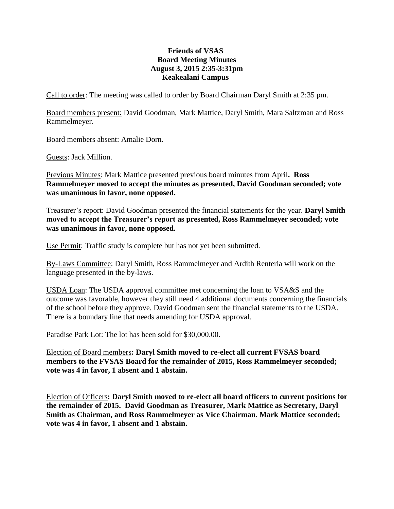## **Friends of VSAS Board Meeting Minutes August 3, 2015 2:35-3:31pm Keakealani Campus**

Call to order: The meeting was called to order by Board Chairman Daryl Smith at 2:35 pm.

Board members present: David Goodman, Mark Mattice, Daryl Smith, Mara Saltzman and Ross Rammelmeyer.

Board members absent: Amalie Dorn.

Guests: Jack Million.

Previous Minutes: Mark Mattice presented previous board minutes from April**. Ross Rammelmeyer moved to accept the minutes as presented, David Goodman seconded; vote was unanimous in favor, none opposed.**

Treasurer's report: David Goodman presented the financial statements for the year. **Daryl Smith moved to accept the Treasurer's report as presented, Ross Rammelmeyer seconded; vote was unanimous in favor, none opposed.**

Use Permit: Traffic study is complete but has not yet been submitted.

By-Laws Committee: Daryl Smith, Ross Rammelmeyer and Ardith Renteria will work on the language presented in the by-laws.

USDA Loan: The USDA approval committee met concerning the loan to VSA&S and the outcome was favorable, however they still need 4 additional documents concerning the financials of the school before they approve. David Goodman sent the financial statements to the USDA. There is a boundary line that needs amending for USDA approval.

Paradise Park Lot: The lot has been sold for \$30,000.00.

Election of Board members**: Daryl Smith moved to re-elect all current FVSAS board members to the FVSAS Board for the remainder of 2015, Ross Rammelmeyer seconded; vote was 4 in favor, 1 absent and 1 abstain.**

Election of Officers**: Daryl Smith moved to re-elect all board officers to current positions for the remainder of 2015. David Goodman as Treasurer, Mark Mattice as Secretary, Daryl Smith as Chairman, and Ross Rammelmeyer as Vice Chairman. Mark Mattice seconded; vote was 4 in favor, 1 absent and 1 abstain.**